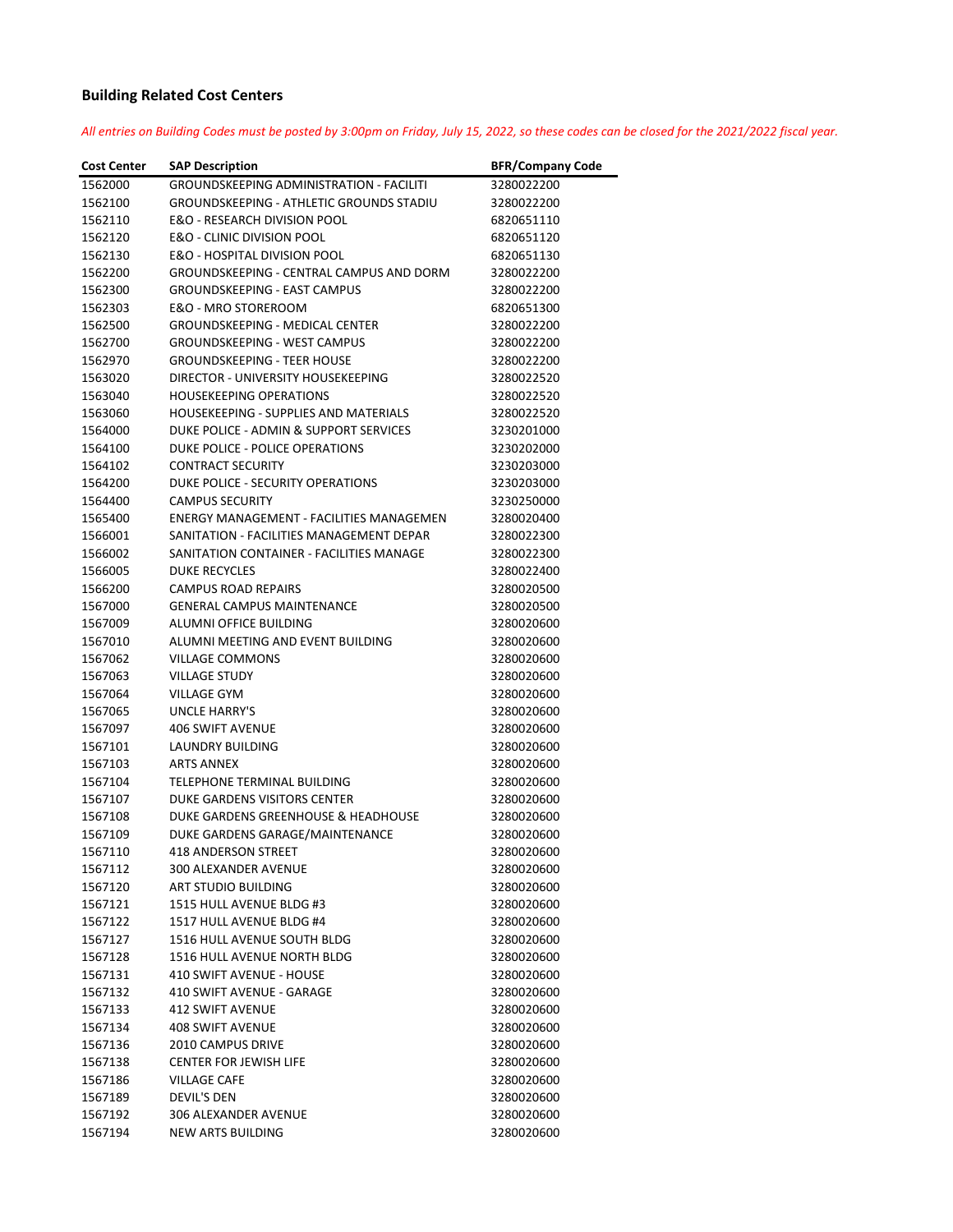## **Building Related Cost Centers**

All entries on Building Codes must be posted by 3:00pm on Friday, July 15, 2022, so these codes can be closed for the 2021/2022 fiscal year.

| <b>Cost Center</b> | <b>SAP Description</b>                          | <b>BFR/Company Code</b> |
|--------------------|-------------------------------------------------|-------------------------|
| 1562000            | <b>GROUNDSKEEPING ADMINISTRATION - FACILITI</b> | 3280022200              |
| 1562100            | <b>GROUNDSKEEPING - ATHLETIC GROUNDS STADIU</b> | 3280022200              |
| 1562110            | E&O - RESEARCH DIVISION POOL                    | 6820651110              |
| 1562120            | E&O - CLINIC DIVISION POOL                      | 6820651120              |
| 1562130            | E&O - HOSPITAL DIVISION POOL                    | 6820651130              |
| 1562200            | <b>GROUNDSKEEPING - CENTRAL CAMPUS AND DORM</b> | 3280022200              |
| 1562300            | <b>GROUNDSKEEPING - EAST CAMPUS</b>             | 3280022200              |
| 1562303            | E&O - MRO STOREROOM                             | 6820651300              |
| 1562500            | <b>GROUNDSKEEPING - MEDICAL CENTER</b>          | 3280022200              |
| 1562700            | <b>GROUNDSKEEPING - WEST CAMPUS</b>             | 3280022200              |
| 1562970            | <b>GROUNDSKEEPING - TEER HOUSE</b>              | 3280022200              |
| 1563020            | DIRECTOR - UNIVERSITY HOUSEKEEPING              | 3280022520              |
| 1563040            | <b>HOUSEKEEPING OPERATIONS</b>                  | 3280022520              |
| 1563060            | HOUSEKEEPING - SUPPLIES AND MATERIALS           | 3280022520              |
| 1564000            | DUKE POLICE - ADMIN & SUPPORT SERVICES          | 3230201000              |
| 1564100            | DUKE POLICE - POLICE OPERATIONS                 | 3230202000              |
| 1564102            | <b>CONTRACT SECURITY</b>                        | 3230203000              |
| 1564200            | DUKE POLICE - SECURITY OPERATIONS               | 3230203000              |
| 1564400            | <b>CAMPUS SECURITY</b>                          | 3230250000              |
| 1565400            | <b>ENERGY MANAGEMENT - FACILITIES MANAGEMEN</b> | 3280020400              |
| 1566001            | SANITATION - FACILITIES MANAGEMENT DEPAR        | 3280022300              |
| 1566002            | SANITATION CONTAINER - FACILITIES MANAGE        | 3280022300              |
| 1566005            | <b>DUKE RECYCLES</b>                            | 3280022400              |
| 1566200            | <b>CAMPUS ROAD REPAIRS</b>                      | 3280020500              |
| 1567000            | <b>GENERAL CAMPUS MAINTENANCE</b>               | 3280020500              |
| 1567009            | ALUMNI OFFICE BUILDING                          | 3280020600              |
| 1567010            | ALUMNI MEETING AND EVENT BUILDING               | 3280020600              |
| 1567062            | <b>VILLAGE COMMONS</b>                          | 3280020600              |
| 1567063            | <b>VILLAGE STUDY</b>                            | 3280020600              |
| 1567064            | <b>VILLAGE GYM</b>                              | 3280020600              |
| 1567065            | UNCLE HARRY'S                                   | 3280020600              |
| 1567097            | <b>406 SWIFT AVENUE</b>                         | 3280020600              |
| 1567101            | LAUNDRY BUILDING                                | 3280020600              |
| 1567103            | <b>ARTS ANNEX</b>                               | 3280020600              |
| 1567104            | TELEPHONE TERMINAL BUILDING                     | 3280020600              |
| 1567107            | DUKE GARDENS VISITORS CENTER                    | 3280020600              |
| 1567108            | DUKE GARDENS GREENHOUSE & HEADHOUSE             | 3280020600              |
| 1567109            | DUKE GARDENS GARAGE/MAINTENANCE                 | 3280020600              |
| 1567110            | 418 ANDERSON STREET                             | 3280020600              |
| 1567112            | <b>300 ALEXANDER AVENUE</b>                     | 3280020600              |
| 1567120            | ART STUDIO BUILDING                             | 3280020600              |
| 1567121            | 1515 HULL AVENUE BLDG #3                        | 3280020600              |
| 1567122            | 1517 HULL AVENUE BLDG #4                        | 3280020600              |
| 1567127            | 1516 HULL AVENUE SOUTH BLDG                     | 3280020600              |
| 1567128            | <b>1516 HULL AVENUE NORTH BLDG</b>              | 3280020600              |
| 1567131            | 410 SWIFT AVENUE - HOUSE                        | 3280020600              |
| 1567132            | 410 SWIFT AVENUE - GARAGE                       | 3280020600              |
| 1567133            | <b>412 SWIFT AVENUE</b>                         | 3280020600              |
| 1567134            | <b>408 SWIFT AVENUE</b>                         | 3280020600              |
| 1567136            | 2010 CAMPUS DRIVE                               | 3280020600              |
| 1567138            | <b>CENTER FOR JEWISH LIFE</b>                   | 3280020600              |
| 1567186            | <b>VILLAGE CAFE</b>                             | 3280020600              |
| 1567189            | DEVIL'S DEN                                     | 3280020600              |
| 1567192            | 306 ALEXANDER AVENUE                            | 3280020600              |
| 1567194            | NEW ARTS BUILDING                               | 3280020600              |
|                    |                                                 |                         |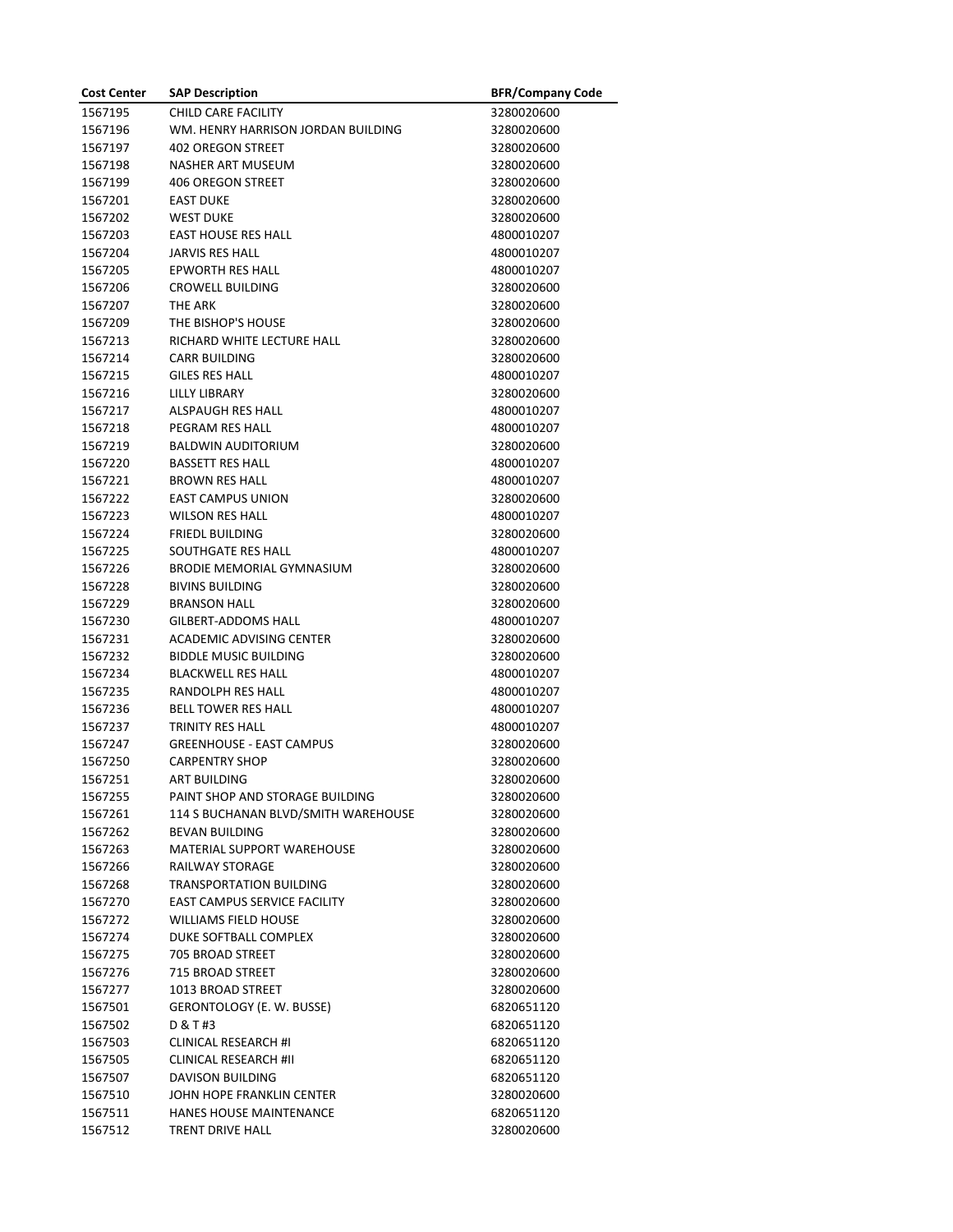| <b>Cost Center</b> | <b>SAP Description</b>              | <b>BFR/Company Code</b> |
|--------------------|-------------------------------------|-------------------------|
| 1567195            | CHILD CARE FACILITY                 | 3280020600              |
| 1567196            | WM. HENRY HARRISON JORDAN BUILDING  | 3280020600              |
| 1567197            | <b>402 OREGON STREET</b>            | 3280020600              |
| 1567198            | NASHER ART MUSEUM                   | 3280020600              |
| 1567199            | <b>406 OREGON STREET</b>            | 3280020600              |
| 1567201            | <b>EAST DUKE</b>                    | 3280020600              |
| 1567202            | <b>WEST DUKE</b>                    | 3280020600              |
| 1567203            | <b>EAST HOUSE RES HALL</b>          | 4800010207              |
| 1567204            | <b>JARVIS RES HALL</b>              | 4800010207              |
| 1567205            | EPWORTH RES HALL                    | 4800010207              |
| 1567206            | <b>CROWELL BUILDING</b>             | 3280020600              |
| 1567207            | THE ARK                             | 3280020600              |
| 1567209            | THE BISHOP'S HOUSE                  | 3280020600              |
| 1567213            | RICHARD WHITE LECTURE HALL          | 3280020600              |
| 1567214            | <b>CARR BUILDING</b>                | 3280020600              |
| 1567215            | <b>GILES RES HALL</b>               | 4800010207              |
| 1567216            | LILLY LIBRARY                       | 3280020600              |
| 1567217            | ALSPAUGH RES HALL                   | 4800010207              |
| 1567218            | PEGRAM RES HALL                     | 4800010207              |
| 1567219            | <b>BALDWIN AUDITORIUM</b>           | 3280020600              |
| 1567220            | <b>BASSETT RES HALL</b>             | 4800010207              |
| 1567221            | <b>BROWN RES HALL</b>               | 4800010207              |
| 1567222            | <b>EAST CAMPUS UNION</b>            | 3280020600              |
| 1567223            | <b>WILSON RES HALL</b>              | 4800010207              |
| 1567224            | <b>FRIEDL BUILDING</b>              | 3280020600              |
| 1567225            | SOUTHGATE RES HALL                  | 4800010207              |
| 1567226            | <b>BRODIE MEMORIAL GYMNASIUM</b>    | 3280020600              |
| 1567228            | <b>BIVINS BUILDING</b>              | 3280020600              |
| 1567229            | <b>BRANSON HALL</b>                 | 3280020600              |
| 1567230            | GILBERT-ADDOMS HALL                 | 4800010207              |
| 1567231            | ACADEMIC ADVISING CENTER            | 3280020600              |
| 1567232            | <b>BIDDLE MUSIC BUILDING</b>        | 3280020600              |
| 1567234            | <b>BLACKWELL RES HALL</b>           | 4800010207              |
| 1567235            | RANDOLPH RES HALL                   | 4800010207              |
| 1567236            | <b>BELL TOWER RES HALL</b>          | 4800010207              |
| 1567237            | TRINITY RES HALL                    | 4800010207              |
| 1567247            | <b>GREENHOUSE - EAST CAMPUS</b>     | 3280020600              |
| 1567250            | <b>CARPENTRY SHOP</b>               | 3280020600              |
| 1567251            | <b>ART BUILDING</b>                 | 3280020600              |
| 1567255            | PAINT SHOP AND STORAGE BUILDING     | 3280020600              |
| 1567261            | 114 S BUCHANAN BLVD/SMITH WAREHOUSE | 3280020600              |
| 1567262            | <b>BEVAN BUILDING</b>               | 3280020600              |
| 1567263            | <b>MATERIAL SUPPORT WAREHOUSE</b>   | 3280020600              |
| 1567266            | RAILWAY STORAGE                     | 3280020600              |
| 1567268            | TRANSPORTATION BUILDING             | 3280020600              |
| 1567270            | <b>EAST CAMPUS SERVICE FACILITY</b> | 3280020600              |
| 1567272            | WILLIAMS FIELD HOUSE                | 3280020600              |
| 1567274            | DUKE SOFTBALL COMPLEX               | 3280020600              |
| 1567275            | <b>705 BROAD STREET</b>             | 3280020600              |
| 1567276            | 715 BROAD STREET                    | 3280020600              |
| 1567277            | 1013 BROAD STREET                   | 3280020600              |
| 1567501            | GERONTOLOGY (E. W. BUSSE)           | 6820651120              |
| 1567502            | D & T #3                            | 6820651120              |
| 1567503            | <b>CLINICAL RESEARCH #I</b>         | 6820651120              |
| 1567505            | <b>CLINICAL RESEARCH #II</b>        | 6820651120              |
| 1567507            | DAVISON BUILDING                    | 6820651120              |
| 1567510            | JOHN HOPE FRANKLIN CENTER           | 3280020600              |
| 1567511            | HANES HOUSE MAINTENANCE             | 6820651120              |
| 1567512            | TRENT DRIVE HALL                    | 3280020600              |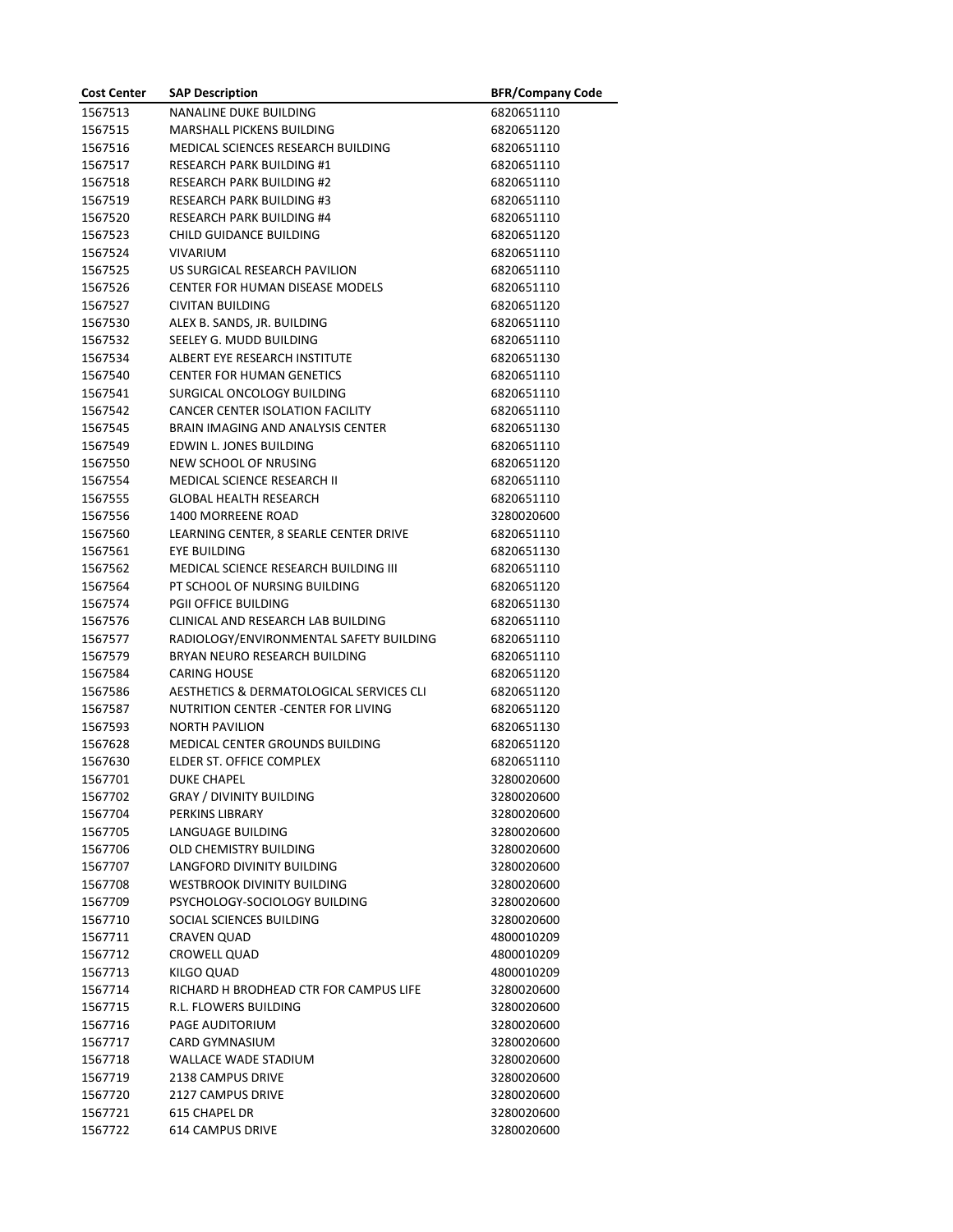| <b>Cost Center</b> | <b>SAP Description</b>                   | <b>BFR/Company Code</b> |
|--------------------|------------------------------------------|-------------------------|
| 1567513            | <b>NANALINE DUKE BUILDING</b>            | 6820651110              |
| 1567515            | MARSHALL PICKENS BUILDING                | 6820651120              |
| 1567516            | MEDICAL SCIENCES RESEARCH BUILDING       | 6820651110              |
| 1567517            | <b>RESEARCH PARK BUILDING #1</b>         | 6820651110              |
| 1567518            | <b>RESEARCH PARK BUILDING #2</b>         | 6820651110              |
| 1567519            | <b>RESEARCH PARK BUILDING #3</b>         | 6820651110              |
| 1567520            | <b>RESEARCH PARK BUILDING #4</b>         | 6820651110              |
| 1567523            | CHILD GUIDANCE BUILDING                  | 6820651120              |
| 1567524            | <b>VIVARIUM</b>                          | 6820651110              |
| 1567525            | US SURGICAL RESEARCH PAVILION            | 6820651110              |
| 1567526            | CENTER FOR HUMAN DISEASE MODELS          | 6820651110              |
| 1567527            | <b>CIVITAN BUILDING</b>                  | 6820651120              |
| 1567530            | ALEX B. SANDS, JR. BUILDING              | 6820651110              |
| 1567532            | SEELEY G. MUDD BUILDING                  | 6820651110              |
| 1567534            | ALBERT EYE RESEARCH INSTITUTE            | 6820651130              |
| 1567540            | <b>CENTER FOR HUMAN GENETICS</b>         | 6820651110              |
| 1567541            | SURGICAL ONCOLOGY BUILDING               | 6820651110              |
| 1567542            | CANCER CENTER ISOLATION FACILITY         | 6820651110              |
| 1567545            | <b>BRAIN IMAGING AND ANALYSIS CENTER</b> | 6820651130              |
| 1567549            | EDWIN L. JONES BUILDING                  | 6820651110              |
| 1567550            | NEW SCHOOL OF NRUSING                    | 6820651120              |
| 1567554            | MEDICAL SCIENCE RESEARCH II              | 6820651110              |
| 1567555            | <b>GLOBAL HEALTH RESEARCH</b>            | 6820651110              |
| 1567556            | 1400 MORREENE ROAD                       | 3280020600              |
| 1567560            | LEARNING CENTER, 8 SEARLE CENTER DRIVE   | 6820651110              |
| 1567561            | EYE BUILDING                             | 6820651130              |
| 1567562            | MEDICAL SCIENCE RESEARCH BUILDING III    | 6820651110              |
| 1567564            | PT SCHOOL OF NURSING BUILDING            | 6820651120              |
| 1567574            | <b>PGII OFFICE BUILDING</b>              | 6820651130              |
| 1567576            | CLINICAL AND RESEARCH LAB BUILDING       | 6820651110              |
| 1567577            | RADIOLOGY/ENVIRONMENTAL SAFETY BUILDING  | 6820651110              |
| 1567579            | BRYAN NEURO RESEARCH BUILDING            | 6820651110              |
| 1567584            | <b>CARING HOUSE</b>                      | 6820651120              |
| 1567586            | AESTHETICS & DERMATOLOGICAL SERVICES CLI | 6820651120              |
| 1567587            | NUTRITION CENTER -CENTER FOR LIVING      | 6820651120              |
| 1567593            | <b>NORTH PAVILION</b>                    | 6820651130              |
| 1567628            | MEDICAL CENTER GROUNDS BUILDING          | 6820651120              |
| 1567630            | ELDER ST. OFFICE COMPLEX                 | 6820651110              |
| 1567701            | <b>DUKE CHAPEL</b>                       | 3280020600              |
| 1567702            | <b>GRAY / DIVINITY BUILDING</b>          | 3280020600              |
| 1567704            | PERKINS LIBRARY                          | 3280020600              |
| 1567705            | LANGUAGE BUILDING                        | 3280020600              |
| 1567706            | OLD CHEMISTRY BUILDING                   | 3280020600              |
| 1567707            | LANGFORD DIVINITY BUILDING               | 3280020600              |
| 1567708            | <b>WESTBROOK DIVINITY BUILDING</b>       | 3280020600              |
| 1567709            | PSYCHOLOGY-SOCIOLOGY BUILDING            | 3280020600              |
| 1567710            | SOCIAL SCIENCES BUILDING                 | 3280020600              |
| 1567711            | CRAVEN QUAD                              | 4800010209              |
| 1567712            | CROWELL QUAD                             | 4800010209              |
| 1567713            | KILGO QUAD                               | 4800010209              |
| 1567714            | RICHARD H BRODHEAD CTR FOR CAMPUS LIFE   | 3280020600              |
| 1567715            | R.L. FLOWERS BUILDING                    | 3280020600              |
| 1567716            | PAGE AUDITORIUM                          | 3280020600              |
| 1567717            | CARD GYMNASIUM                           | 3280020600              |
| 1567718            | <b>WALLACE WADE STADIUM</b>              | 3280020600              |
| 1567719            | 2138 CAMPUS DRIVE                        | 3280020600              |
| 1567720            | 2127 CAMPUS DRIVE                        | 3280020600              |
| 1567721            | <b>615 CHAPEL DR</b>                     | 3280020600              |
| 1567722            | <b>614 CAMPUS DRIVE</b>                  | 3280020600              |
|                    |                                          |                         |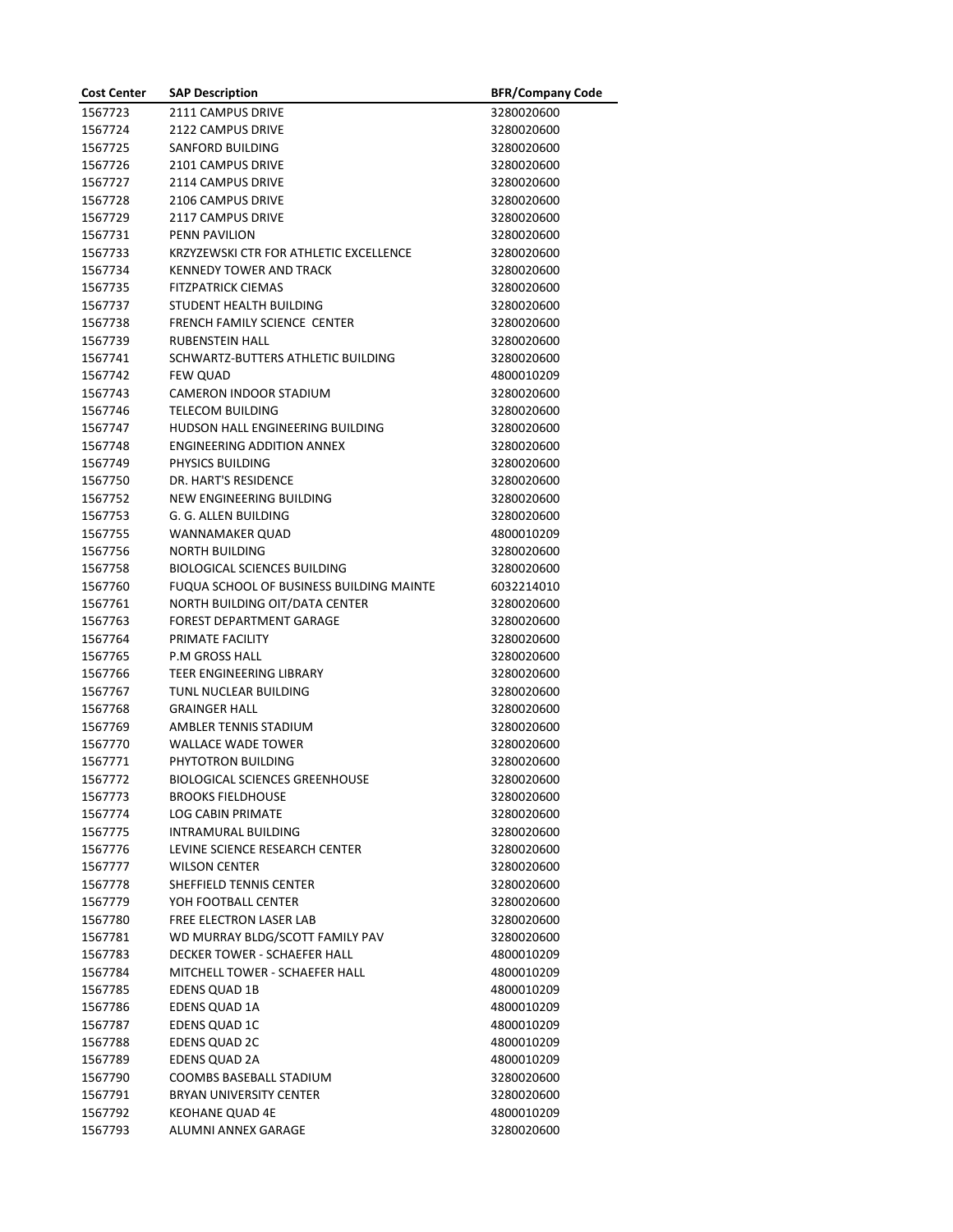| <b>Cost Center</b> | <b>SAP Description</b>                   | <b>BFR/Company Code</b> |
|--------------------|------------------------------------------|-------------------------|
| 1567723            | 2111 CAMPUS DRIVE                        | 3280020600              |
| 1567724            | 2122 CAMPUS DRIVE                        | 3280020600              |
| 1567725            | <b>SANFORD BUILDING</b>                  | 3280020600              |
| 1567726            | 2101 CAMPUS DRIVE                        | 3280020600              |
| 1567727            | 2114 CAMPUS DRIVE                        | 3280020600              |
| 1567728            | 2106 CAMPUS DRIVE                        | 3280020600              |
| 1567729            | 2117 CAMPUS DRIVE                        | 3280020600              |
| 1567731            | <b>PENN PAVILION</b>                     | 3280020600              |
| 1567733            | KRZYZEWSKI CTR FOR ATHLETIC EXCELLENCE   | 3280020600              |
| 1567734            | <b>KENNEDY TOWER AND TRACK</b>           | 3280020600              |
| 1567735            | <b>FITZPATRICK CIEMAS</b>                | 3280020600              |
| 1567737            | STUDENT HEALTH BUILDING                  | 3280020600              |
| 1567738            | FRENCH FAMILY SCIENCE CENTER             | 3280020600              |
| 1567739            | <b>RUBENSTEIN HALL</b>                   | 3280020600              |
| 1567741            | SCHWARTZ-BUTTERS ATHLETIC BUILDING       | 3280020600              |
| 1567742            | <b>FEW QUAD</b>                          | 4800010209              |
| 1567743            | CAMERON INDOOR STADIUM                   | 3280020600              |
| 1567746            | <b>TELECOM BUILDING</b>                  | 3280020600              |
| 1567747            | HUDSON HALL ENGINEERING BUILDING         | 3280020600              |
| 1567748            | <b>ENGINEERING ADDITION ANNEX</b>        | 3280020600              |
| 1567749            | PHYSICS BUILDING                         | 3280020600              |
| 1567750            | DR. HART'S RESIDENCE                     | 3280020600              |
| 1567752            | NEW ENGINEERING BUILDING                 | 3280020600              |
| 1567753            | G. G. ALLEN BUILDING                     | 3280020600              |
| 1567755            | WANNAMAKER QUAD                          | 4800010209              |
| 1567756            | <b>NORTH BUILDING</b>                    | 3280020600              |
| 1567758            | <b>BIOLOGICAL SCIENCES BUILDING</b>      | 3280020600              |
| 1567760            | FUQUA SCHOOL OF BUSINESS BUILDING MAINTE | 6032214010              |
| 1567761            | NORTH BUILDING OIT/DATA CENTER           | 3280020600              |
| 1567763            | FOREST DEPARTMENT GARAGE                 | 3280020600              |
| 1567764            | PRIMATE FACILITY                         | 3280020600              |
| 1567765            | <b>P.M GROSS HALL</b>                    | 3280020600              |
| 1567766            | TEER ENGINEERING LIBRARY                 | 3280020600              |
| 1567767            | TUNL NUCLEAR BUILDING                    | 3280020600              |
| 1567768            | <b>GRAINGER HALL</b>                     | 3280020600              |
| 1567769            | AMBLER TENNIS STADIUM                    | 3280020600              |
| 1567770            | <b>WALLACE WADE TOWER</b>                | 3280020600              |
| 1567771            | PHYTOTRON BUILDING                       | 3280020600              |
| 1567772            | <b>BIOLOGICAL SCIENCES GREENHOUSE</b>    | 3280020600              |
| 1567773            | BROOKS FIELDHOUSE                        | 3280020600              |
| 1567774            | <b>LOG CABIN PRIMATE</b>                 | 3280020600              |
| 1567775            | <b>INTRAMURAL BUILDING</b>               | 3280020600              |
| 1567776            | LEVINE SCIENCE RESEARCH CENTER           | 3280020600              |
| 1567777            | <b>WILSON CENTER</b>                     | 3280020600              |
| 1567778            | SHEFFIELD TENNIS CENTER                  | 3280020600              |
| 1567779            | YOH FOOTBALL CENTER                      | 3280020600              |
| 1567780            | FREE ELECTRON LASER LAB                  | 3280020600              |
| 1567781            | WD MURRAY BLDG/SCOTT FAMILY PAV          | 3280020600              |
| 1567783            | DECKER TOWER - SCHAEFER HALL             | 4800010209              |
| 1567784            | MITCHELL TOWER - SCHAEFER HALL           | 4800010209              |
| 1567785            | EDENS QUAD 1B                            | 4800010209              |
| 1567786            | EDENS QUAD 1A                            | 4800010209              |
| 1567787            | EDENS QUAD 1C                            | 4800010209              |
| 1567788            | <b>EDENS QUAD 2C</b>                     | 4800010209              |
| 1567789            | <b>EDENS QUAD 2A</b>                     | 4800010209              |
| 1567790            | COOMBS BASEBALL STADIUM                  | 3280020600              |
| 1567791            | BRYAN UNIVERSITY CENTER                  | 3280020600              |
| 1567792            | KEOHANE QUAD 4E                          | 4800010209              |
| 1567793            | ALUMNI ANNEX GARAGE                      | 3280020600              |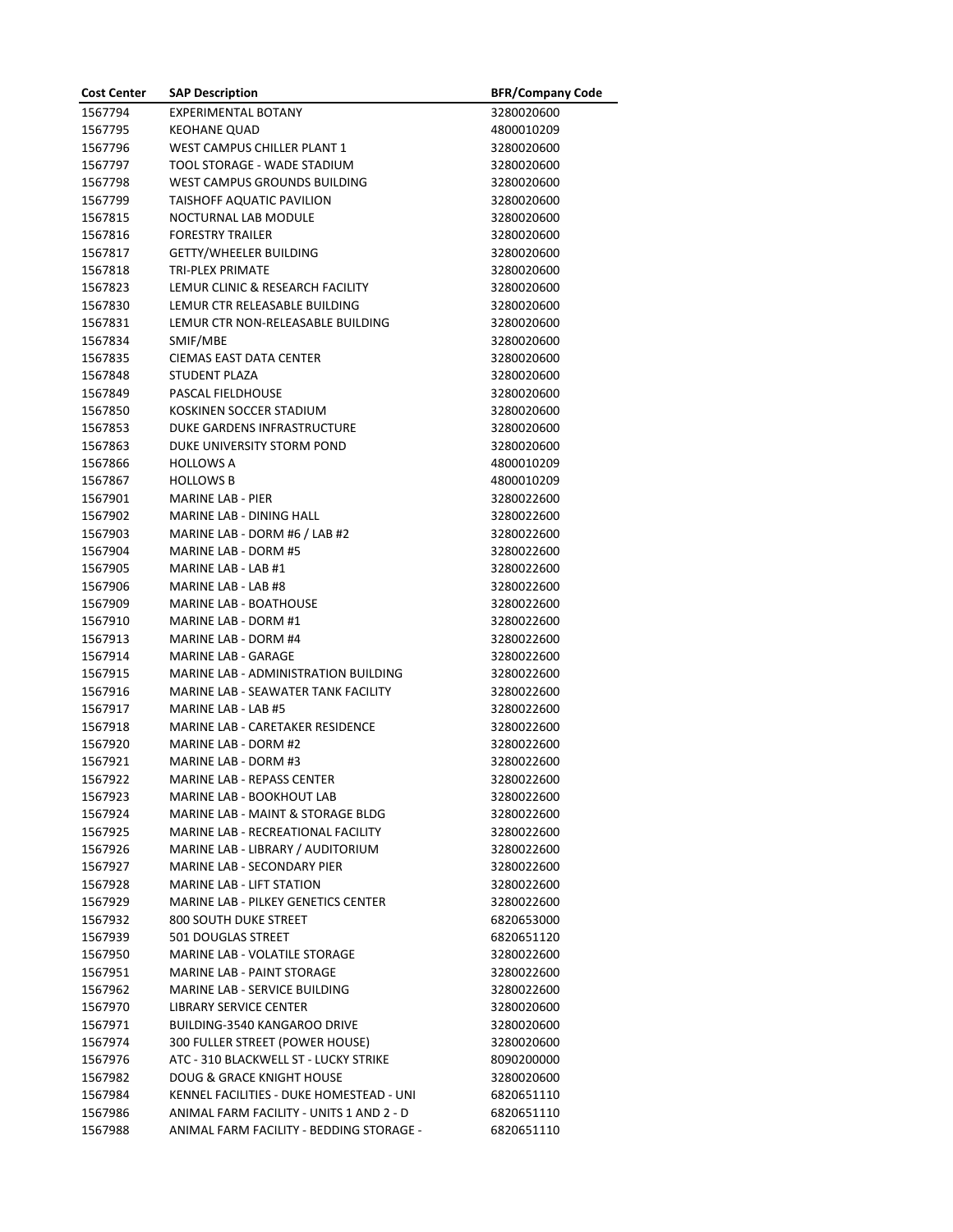| <b>Cost Center</b> | <b>SAP Description</b>                     | <b>BFR/Company Code</b> |
|--------------------|--------------------------------------------|-------------------------|
| 1567794            | <b>EXPERIMENTAL BOTANY</b>                 | 3280020600              |
| 1567795            | <b>KEOHANE QUAD</b>                        | 4800010209              |
| 1567796            | <b>WEST CAMPUS CHILLER PLANT 1</b>         | 3280020600              |
| 1567797            | TOOL STORAGE - WADE STADIUM                | 3280020600              |
| 1567798            | WEST CAMPUS GROUNDS BUILDING               | 3280020600              |
| 1567799            | <b>TAISHOFF AQUATIC PAVILION</b>           | 3280020600              |
| 1567815            | NOCTURNAL LAB MODULE                       | 3280020600              |
| 1567816            | <b>FORESTRY TRAILER</b>                    | 3280020600              |
| 1567817            | <b>GETTY/WHEELER BUILDING</b>              | 3280020600              |
| 1567818            | <b>TRI-PLEX PRIMATE</b>                    | 3280020600              |
| 1567823            | LEMUR CLINIC & RESEARCH FACILITY           | 3280020600              |
| 1567830            | LEMUR CTR RELEASABLE BUILDING              | 3280020600              |
| 1567831            | LEMUR CTR NON-RELEASABLE BUILDING          | 3280020600              |
| 1567834            | SMIF/MBE                                   | 3280020600              |
| 1567835            | CIEMAS EAST DATA CENTER                    | 3280020600              |
| 1567848            | <b>STUDENT PLAZA</b>                       | 3280020600              |
| 1567849            | PASCAL FIELDHOUSE                          | 3280020600              |
| 1567850            | KOSKINEN SOCCER STADIUM                    | 3280020600              |
| 1567853            | DUKE GARDENS INFRASTRUCTURE                | 3280020600              |
| 1567863            | DUKE UNIVERSITY STORM POND                 | 3280020600              |
| 1567866            | <b>HOLLOWS A</b>                           | 4800010209              |
| 1567867            | <b>HOLLOWS B</b>                           | 4800010209              |
| 1567901            | <b>MARINE LAB - PIER</b>                   | 3280022600              |
| 1567902            | <b>MARINE LAB - DINING HALL</b>            | 3280022600              |
| 1567903            | MARINE LAB - DORM #6 / LAB #2              | 3280022600              |
| 1567904            | MARINE LAB - DORM #5                       | 3280022600              |
| 1567905            | MARINE LAB - LAB #1                        | 3280022600              |
| 1567906            | MARINE LAB - LAB #8                        | 3280022600              |
| 1567909            | <b>MARINE LAB - BOATHOUSE</b>              | 3280022600              |
| 1567910            | MARINE LAB - DORM #1                       | 3280022600              |
| 1567913            | MARINE LAB - DORM #4                       | 3280022600              |
| 1567914            | <b>MARINE LAB - GARAGE</b>                 | 3280022600              |
| 1567915            | MARINE LAB - ADMINISTRATION BUILDING       | 3280022600              |
| 1567916            | MARINE LAB - SEAWATER TANK FACILITY        | 3280022600              |
| 1567917            | <b>MARINE LAB - LAB #5</b>                 | 3280022600              |
| 1567918            | MARINE LAB - CARETAKER RESIDENCE           | 3280022600              |
| 1567920            | MARINE LAB - DORM #2                       | 3280022600              |
| 1567921            | MARINE LAB - DORM #3                       | 3280022600              |
| 1567922            | <b>MARINE LAB - REPASS CENTER</b>          | 3280022600              |
| 1567923            | <b>MARINE LAB - BOOKHOUT LAB</b>           | 3280022600              |
| 1567924            | MARINE LAB - MAINT & STORAGE BLDG          | 3280022600              |
| 1567925            | MARINE LAB - RECREATIONAL FACILITY         | 3280022600              |
| 1567926            | MARINE LAB - LIBRARY / AUDITORIUM          | 3280022600              |
| 1567927            | MARINE LAB - SECONDARY PIER                | 3280022600              |
| 1567928            | <b>MARINE LAB - LIFT STATION</b>           | 3280022600              |
| 1567929            | <b>MARINE LAB - PILKEY GENETICS CENTER</b> | 3280022600              |
| 1567932            | 800 SOUTH DUKE STREET                      | 6820653000              |
| 1567939            | 501 DOUGLAS STREET                         | 6820651120              |
| 1567950            | MARINE LAB - VOLATILE STORAGE              | 3280022600              |
| 1567951            | <b>MARINE LAB - PAINT STORAGE</b>          | 3280022600              |
| 1567962            | MARINE LAB - SERVICE BUILDING              | 3280022600              |
| 1567970            | <b>LIBRARY SERVICE CENTER</b>              | 3280020600              |
| 1567971            | BUILDING-3540 KANGAROO DRIVE               | 3280020600              |
| 1567974            | 300 FULLER STREET (POWER HOUSE)            | 3280020600              |
| 1567976            | ATC - 310 BLACKWELL ST - LUCKY STRIKE      | 8090200000              |
| 1567982            | <b>DOUG &amp; GRACE KNIGHT HOUSE</b>       | 3280020600              |
| 1567984            | KENNEL FACILITIES - DUKE HOMESTEAD - UNI   | 6820651110              |
| 1567986            | ANIMAL FARM FACILITY - UNITS 1 AND 2 - D   | 6820651110              |
| 1567988            | ANIMAL FARM FACILITY - BEDDING STORAGE -   | 6820651110              |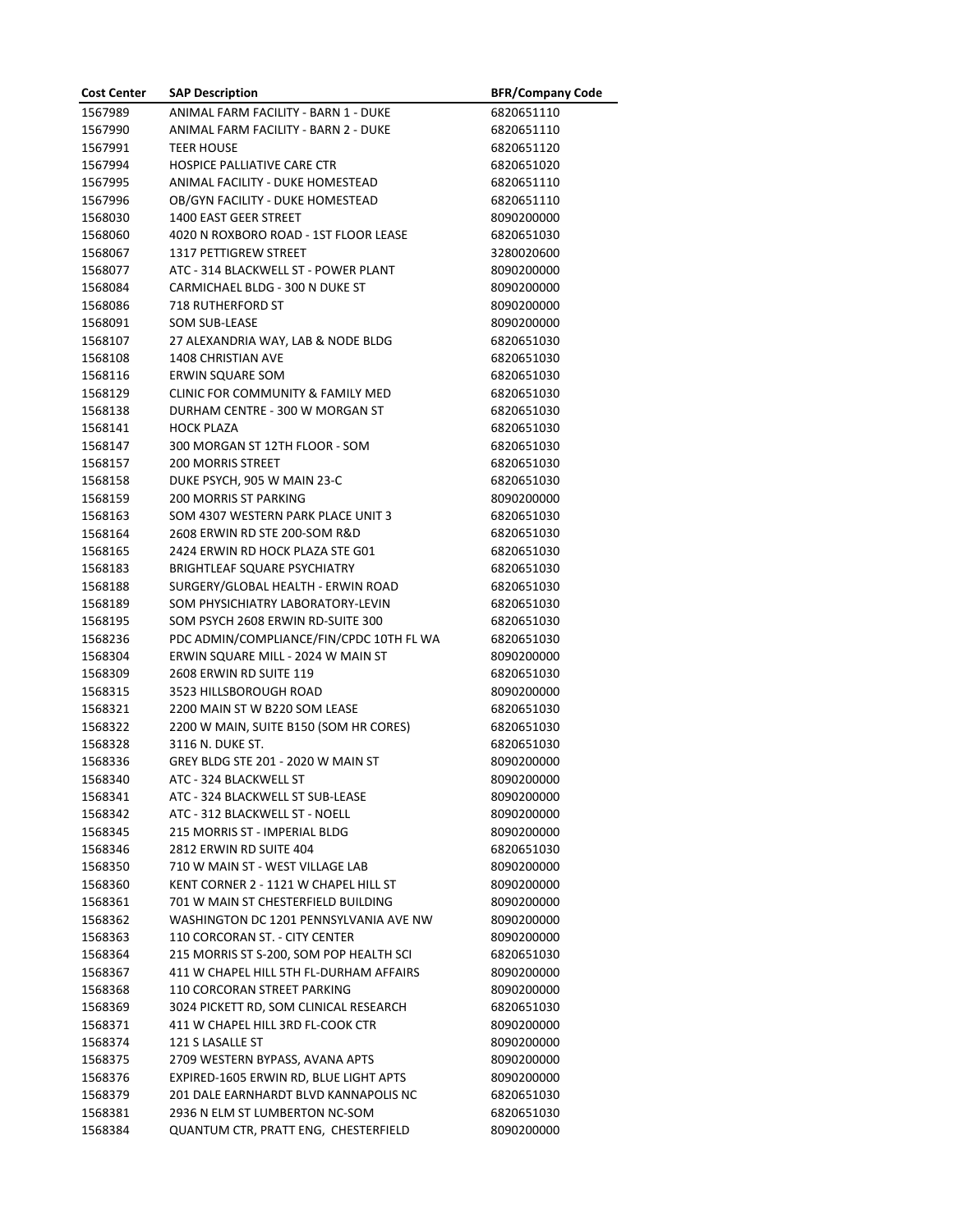| <b>Cost Center</b> | <b>SAP Description</b>                   | <b>BFR/Company Code</b> |
|--------------------|------------------------------------------|-------------------------|
| 1567989            | ANIMAL FARM FACILITY - BARN 1 - DUKE     | 6820651110              |
| 1567990            | ANIMAL FARM FACILITY - BARN 2 - DUKE     | 6820651110              |
| 1567991            | <b>TEER HOUSE</b>                        | 6820651120              |
| 1567994            | HOSPICE PALLIATIVE CARE CTR              | 6820651020              |
| 1567995            | ANIMAL FACILITY - DUKE HOMESTEAD         | 6820651110              |
| 1567996            | OB/GYN FACILITY - DUKE HOMESTEAD         | 6820651110              |
| 1568030            | 1400 EAST GEER STREET                    | 8090200000              |
| 1568060            | 4020 N ROXBORO ROAD - 1ST FLOOR LEASE    | 6820651030              |
| 1568067            | 1317 PETTIGREW STREET                    | 3280020600              |
| 1568077            | ATC - 314 BLACKWELL ST - POWER PLANT     | 8090200000              |
| 1568084            | CARMICHAEL BLDG - 300 N DUKE ST          | 8090200000              |
| 1568086            | <b>718 RUTHERFORD ST</b>                 | 8090200000              |
| 1568091            | SOM SUB-LEASE                            | 8090200000              |
| 1568107            | 27 ALEXANDRIA WAY, LAB & NODE BLDG       | 6820651030              |
| 1568108            | 1408 CHRISTIAN AVE                       | 6820651030              |
| 1568116            | <b>ERWIN SQUARE SOM</b>                  | 6820651030              |
| 1568129            | CLINIC FOR COMMUNITY & FAMILY MED        | 6820651030              |
| 1568138            | DURHAM CENTRE - 300 W MORGAN ST          | 6820651030              |
| 1568141            | <b>HOCK PLAZA</b>                        | 6820651030              |
| 1568147            | 300 MORGAN ST 12TH FLOOR - SOM           | 6820651030              |
| 1568157            | <b>200 MORRIS STREET</b>                 | 6820651030              |
| 1568158            | DUKE PSYCH, 905 W MAIN 23-C              | 6820651030              |
| 1568159            | <b>200 MORRIS ST PARKING</b>             | 8090200000              |
| 1568163            | SOM 4307 WESTERN PARK PLACE UNIT 3       | 6820651030              |
| 1568164            | 2608 ERWIN RD STE 200-SOM R&D            | 6820651030              |
| 1568165            | 2424 ERWIN RD HOCK PLAZA STE G01         | 6820651030              |
| 1568183            | <b>BRIGHTLEAF SQUARE PSYCHIATRY</b>      | 6820651030              |
| 1568188            | SURGERY/GLOBAL HEALTH - ERWIN ROAD       | 6820651030              |
| 1568189            | SOM PHYSICHIATRY LABORATORY-LEVIN        | 6820651030              |
| 1568195            | SOM PSYCH 2608 ERWIN RD-SUITE 300        | 6820651030              |
| 1568236            | PDC ADMIN/COMPLIANCE/FIN/CPDC 10TH FL WA | 6820651030              |
| 1568304            | ERWIN SQUARE MILL - 2024 W MAIN ST       | 8090200000              |
| 1568309            | 2608 ERWIN RD SUITE 119                  | 6820651030              |
| 1568315            | 3523 HILLSBOROUGH ROAD                   | 8090200000              |
| 1568321            | 2200 MAIN ST W B220 SOM LEASE            | 6820651030              |
| 1568322            | 2200 W MAIN, SUITE B150 (SOM HR CORES)   | 6820651030              |
| 1568328            | 3116 N. DUKE ST.                         | 6820651030              |
| 1568336            | GREY BLDG STE 201 - 2020 W MAIN ST       | 8090200000              |
| 1568340            | ATC - 324 BLACKWELL ST                   | 8090200000              |
| 1568341            | ATC - 324 BLACKWELL ST SUB-LEASE         | 8090200000              |
| 1568342            | ATC - 312 BLACKWELL ST - NOELL           | 8090200000              |
| 1568345            | 215 MORRIS ST - IMPERIAL BLDG            | 8090200000              |
| 1568346            | 2812 ERWIN RD SUITE 404                  | 6820651030              |
| 1568350            | 710 W MAIN ST - WEST VILLAGE LAB         | 8090200000              |
| 1568360            | KENT CORNER 2 - 1121 W CHAPEL HILL ST    | 8090200000              |
| 1568361            | 701 W MAIN ST CHESTERFIELD BUILDING      | 8090200000              |
| 1568362            | WASHINGTON DC 1201 PENNSYLVANIA AVE NW   | 8090200000              |
| 1568363            | 110 CORCORAN ST. - CITY CENTER           | 8090200000              |
| 1568364            | 215 MORRIS ST S-200, SOM POP HEALTH SCI  | 6820651030              |
| 1568367            | 411 W CHAPEL HILL 5TH FL-DURHAM AFFAIRS  | 8090200000              |
| 1568368            | 110 CORCORAN STREET PARKING              | 8090200000              |
| 1568369            | 3024 PICKETT RD, SOM CLINICAL RESEARCH   | 6820651030              |
| 1568371            | 411 W CHAPEL HILL 3RD FL-COOK CTR        | 8090200000              |
| 1568374            | 121 S LASALLE ST                         | 8090200000              |
| 1568375            | 2709 WESTERN BYPASS, AVANA APTS          | 8090200000              |
| 1568376            | EXPIRED-1605 ERWIN RD, BLUE LIGHT APTS   | 8090200000              |
| 1568379            | 201 DALE EARNHARDT BLVD KANNAPOLIS NC    | 6820651030              |
| 1568381            | 2936 N ELM ST LUMBERTON NC-SOM           | 6820651030              |
| 1568384            | QUANTUM CTR, PRATT ENG, CHESTERFIELD     | 8090200000              |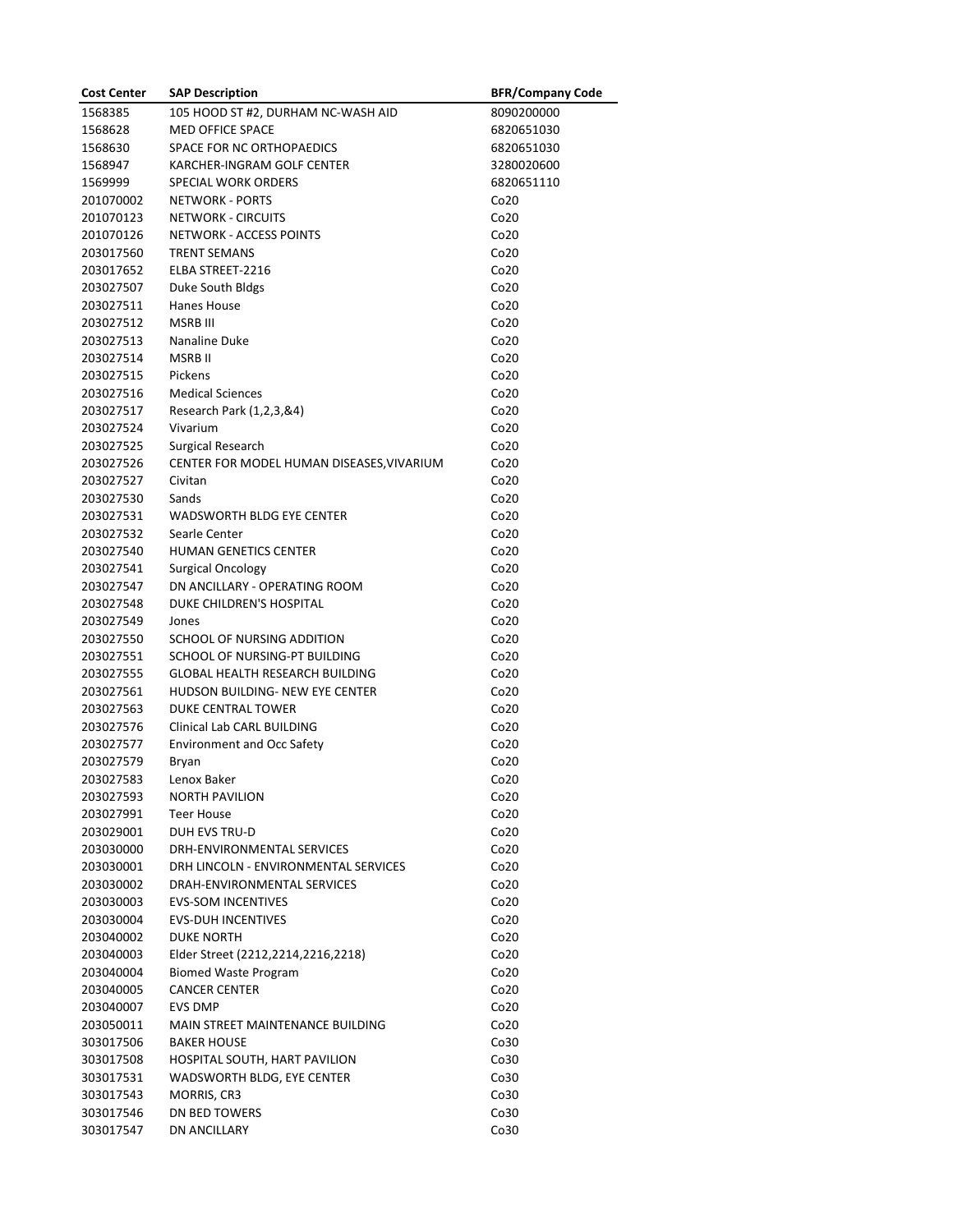| <b>Cost Center</b> | <b>SAP Description</b>                    | <b>BFR/Company Code</b> |
|--------------------|-------------------------------------------|-------------------------|
| 1568385            | 105 HOOD ST #2, DURHAM NC-WASH AID        | 8090200000              |
| 1568628            | MED OFFICE SPACE                          | 6820651030              |
| 1568630            | SPACE FOR NC ORTHOPAEDICS                 | 6820651030              |
| 1568947            | KARCHER-INGRAM GOLF CENTER                | 3280020600              |
| 1569999            | SPECIAL WORK ORDERS                       | 6820651110              |
| 201070002          | <b>NETWORK - PORTS</b>                    | Co <sub>20</sub>        |
| 201070123          | <b>NETWORK - CIRCUITS</b>                 | Co20                    |
| 201070126          | NETWORK - ACCESS POINTS                   | Co20                    |
| 203017560          | <b>TRENT SEMANS</b>                       | Co20                    |
| 203017652          | ELBA STREET-2216                          | Co20                    |
| 203027507          | Duke South Bldgs                          | Co20                    |
| 203027511          | Hanes House                               | Co <sub>20</sub>        |
| 203027512          | <b>MSRB III</b>                           | Co20                    |
| 203027513          | Nanaline Duke                             | Co <sub>20</sub>        |
| 203027514          | MSRB II                                   | Co20                    |
| 203027515          | Pickens                                   | Co <sub>20</sub>        |
| 203027516          | <b>Medical Sciences</b>                   | Co <sub>20</sub>        |
| 203027517          | Research Park (1,2,3,&4)                  | Co20                    |
| 203027524          | Vivarium                                  | Co20                    |
| 203027525          | Surgical Research                         | Co <sub>20</sub>        |
| 203027526          | CENTER FOR MODEL HUMAN DISEASES, VIVARIUM | Co <sub>20</sub>        |
| 203027527          | Civitan                                   | Co <sub>20</sub>        |
| 203027530          | Sands                                     | Co <sub>20</sub>        |
| 203027531          | WADSWORTH BLDG EYE CENTER                 | Co <sub>20</sub>        |
| 203027532          | Searle Center                             | Co <sub>20</sub>        |
| 203027540          | HUMAN GENETICS CENTER                     | Co20                    |
| 203027541          | Surgical Oncology                         | Co20                    |
| 203027547          | DN ANCILLARY - OPERATING ROOM             | Co <sub>20</sub>        |
| 203027548          | DUKE CHILDREN'S HOSPITAL                  | Co20                    |
| 203027549          | Jones                                     | Co <sub>20</sub>        |
| 203027550          | SCHOOL OF NURSING ADDITION                | Co <sub>20</sub>        |
| 203027551          | SCHOOL OF NURSING-PT BUILDING             | Co <sub>20</sub>        |
| 203027555          | <b>GLOBAL HEALTH RESEARCH BUILDING</b>    | Co <sub>20</sub>        |
| 203027561          | HUDSON BUILDING- NEW EYE CENTER           | Co <sub>20</sub>        |
| 203027563          | DUKE CENTRAL TOWER                        | Co <sub>20</sub>        |
| 203027576          | Clinical Lab CARL BUILDING                | Co <sub>20</sub>        |
| 203027577          | <b>Environment and Occ Safety</b>         | Co20                    |
| 203027579          | Bryan                                     | Co20                    |
| 203027583          | Lenox Baker                               | Co20                    |
| 203027593          | <b>NORTH PAVILION</b>                     | Co <sub>20</sub>        |
| 203027991          | Teer House                                | Co <sub>20</sub>        |
| 203029001          | <b>DUH EVS TRU-D</b>                      | Co20                    |
| 203030000          | DRH-ENVIRONMENTAL SERVICES                | Co20                    |
| 203030001          | DRH LINCOLN - ENVIRONMENTAL SERVICES      | Co20                    |
| 203030002          | DRAH-ENVIRONMENTAL SERVICES               | Co20                    |
| 203030003          | <b>EVS-SOM INCENTIVES</b>                 | Co20                    |
| 203030004          | <b>EVS-DUH INCENTIVES</b>                 | Co20                    |
| 203040002          | <b>DUKE NORTH</b>                         | Co20                    |
| 203040003          | Elder Street (2212,2214,2216,2218)        | Co <sub>20</sub>        |
| 203040004          | <b>Biomed Waste Program</b>               | Co <sub>20</sub>        |
| 203040005          | <b>CANCER CENTER</b>                      | Co20                    |
| 203040007          | <b>EVS DMP</b>                            | Co20                    |
| 203050011          | MAIN STREET MAINTENANCE BUILDING          | Co20                    |
| 303017506          | <b>BAKER HOUSE</b>                        | Co30                    |
|                    |                                           |                         |
| 303017508          | HOSPITAL SOUTH, HART PAVILION             | Co30                    |
| 303017531          | WADSWORTH BLDG, EYE CENTER                | Co30                    |
| 303017543          | MORRIS, CR3                               | Co30                    |
| 303017546          | DN BED TOWERS                             | Co30                    |
| 303017547          | DN ANCILLARY                              | Co30                    |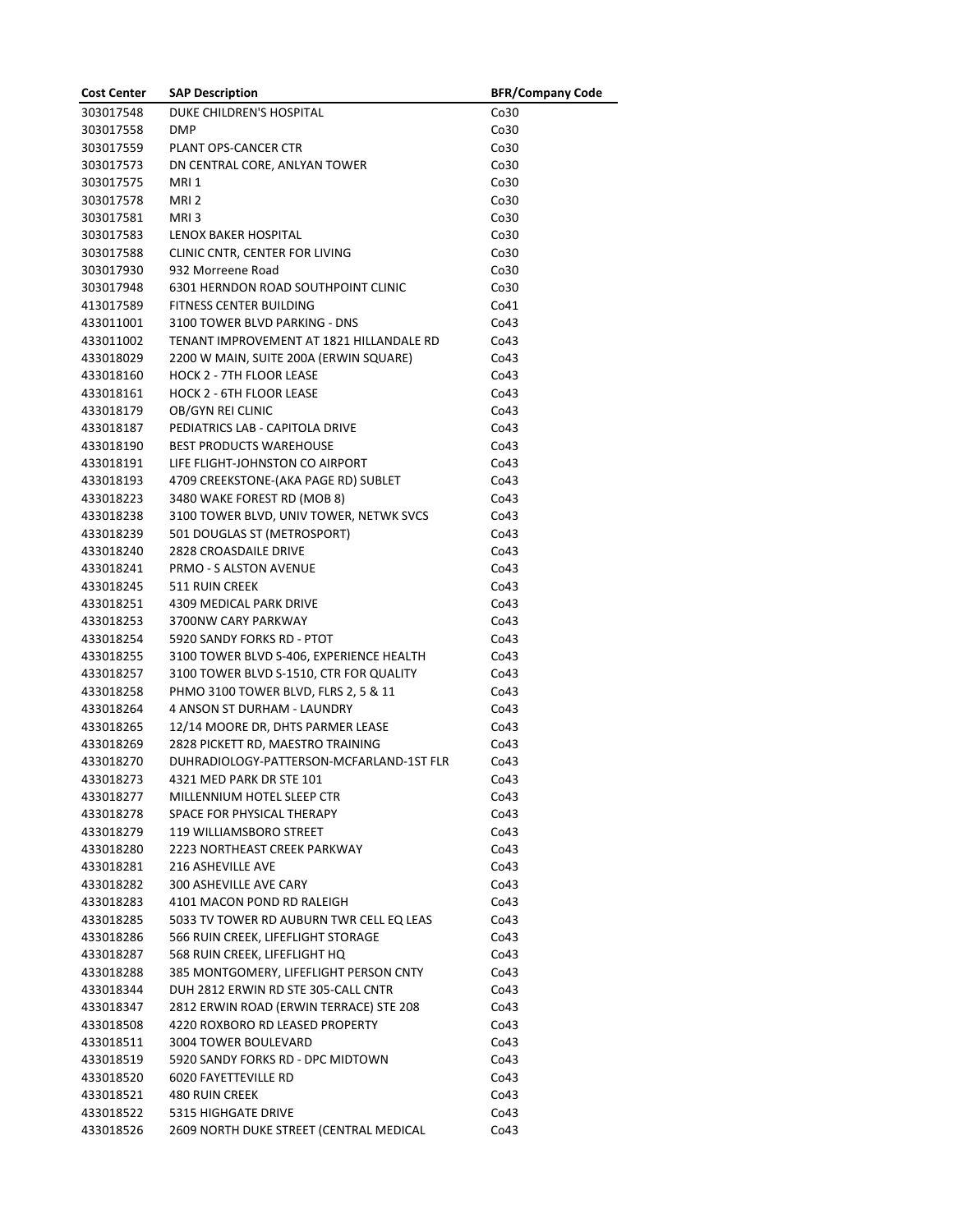| <b>Cost Center</b> | <b>SAP Description</b>                   | <b>BFR/Company Code</b> |
|--------------------|------------------------------------------|-------------------------|
| 303017548          | DUKE CHILDREN'S HOSPITAL                 | Co30                    |
| 303017558          | <b>DMP</b>                               | Co30                    |
| 303017559          | PLANT OPS-CANCER CTR                     | Co30                    |
| 303017573          | DN CENTRAL CORE, ANLYAN TOWER            | Co30                    |
| 303017575          | MRI <sub>1</sub>                         | Co30                    |
| 303017578          | MRI <sub>2</sub>                         | Co30                    |
| 303017581          | MRI3                                     | Co30                    |
| 303017583          | LENOX BAKER HOSPITAL                     | Co30                    |
| 303017588          | CLINIC CNTR, CENTER FOR LIVING           | Co30                    |
| 303017930          | 932 Morreene Road                        | Co30                    |
| 303017948          | 6301 HERNDON ROAD SOUTHPOINT CLINIC      | Co30                    |
| 413017589          | FITNESS CENTER BUILDING                  | Co41                    |
| 433011001          | 3100 TOWER BLVD PARKING - DNS            | Co43                    |
| 433011002          | TENANT IMPROVEMENT AT 1821 HILLANDALE RD | Co43                    |
| 433018029          | 2200 W MAIN, SUITE 200A (ERWIN SQUARE)   | Co43                    |
| 433018160          | <b>HOCK 2 - 7TH FLOOR LEASE</b>          | Co43                    |
| 433018161          | <b>HOCK 2 - 6TH FLOOR LEASE</b>          | Co43                    |
| 433018179          | OB/GYN REI CLINIC                        | Co43                    |
| 433018187          | PEDIATRICS LAB - CAPITOLA DRIVE          | Co43                    |
| 433018190          | <b>BEST PRODUCTS WAREHOUSE</b>           | Co43                    |
| 433018191          | LIFE FLIGHT-JOHNSTON CO AIRPORT          | Co43                    |
| 433018193          | 4709 CREEKSTONE-(AKA PAGE RD) SUBLET     | Co43                    |
| 433018223          | 3480 WAKE FOREST RD (MOB 8)              | Co43                    |
| 433018238          | 3100 TOWER BLVD, UNIV TOWER, NETWK SVCS  | Co43                    |
| 433018239          | 501 DOUGLAS ST (METROSPORT)              | Co43                    |
| 433018240          | <b>2828 CROASDAILE DRIVE</b>             | Co43                    |
| 433018241          | <b>PRMO - S ALSTON AVENUE</b>            | Co43                    |
| 433018245          | <b>511 RUIN CREEK</b>                    | Co43                    |
| 433018251          | 4309 MEDICAL PARK DRIVE                  | Co43                    |
| 433018253          | 3700NW CARY PARKWAY                      | Co43                    |
| 433018254          | 5920 SANDY FORKS RD - PTOT               | Co43                    |
| 433018255          | 3100 TOWER BLVD S-406, EXPERIENCE HEALTH | Co43                    |
| 433018257          | 3100 TOWER BLVD S-1510, CTR FOR QUALITY  | Co43                    |
| 433018258          | PHMO 3100 TOWER BLVD, FLRS 2, 5 & 11     | Co43                    |
| 433018264          | 4 ANSON ST DURHAM - LAUNDRY              | Co43                    |
| 433018265          | 12/14 MOORE DR, DHTS PARMER LEASE        | Co43                    |
| 433018269          | 2828 PICKETT RD, MAESTRO TRAINING        | Co43                    |
| 433018270          | DUHRADIOLOGY-PATTERSON-MCFARLAND-1ST FLR | Co43                    |
| 433018273          | 4321 MED PARK DR STE 101                 | Co43                    |
| 433018277          | MILLENNIUM HOTEL SLEEP CTR               | Co43                    |
| 433018278          | SPACE FOR PHYSICAL THERAPY               | Co43                    |
| 433018279          | 119 WILLIAMSBORO STREET                  | Co43                    |
| 433018280          | 2223 NORTHEAST CREEK PARKWAY             | Co43                    |
| 433018281          | 216 ASHEVILLE AVE                        | Co43                    |
| 433018282          | 300 ASHEVILLE AVE CARY                   | Co43                    |
| 433018283          | 4101 MACON POND RD RALEIGH               | Co43                    |
| 433018285          | 5033 TV TOWER RD AUBURN TWR CELL EQ LEAS | Co43                    |
| 433018286          | 566 RUIN CREEK, LIFEFLIGHT STORAGE       | Co43                    |
| 433018287          | 568 RUIN CREEK, LIFEFLIGHT HQ            | Co43                    |
| 433018288          | 385 MONTGOMERY, LIFEFLIGHT PERSON CNTY   | Co43                    |
| 433018344          | DUH 2812 ERWIN RD STE 305-CALL CNTR      | Co43                    |
| 433018347          | 2812 ERWIN ROAD (ERWIN TERRACE) STE 208  | Co43                    |
| 433018508          | 4220 ROXBORO RD LEASED PROPERTY          | Co43                    |
| 433018511          | 3004 TOWER BOULEVARD                     | Co43                    |
| 433018519          | 5920 SANDY FORKS RD - DPC MIDTOWN        | Co43                    |
| 433018520          | 6020 FAYETTEVILLE RD                     | Co43                    |
| 433018521          | <b>480 RUIN CREEK</b>                    | Co43                    |
| 433018522          | 5315 HIGHGATE DRIVE                      | Co43                    |
| 433018526          | 2609 NORTH DUKE STREET (CENTRAL MEDICAL  | Co43                    |